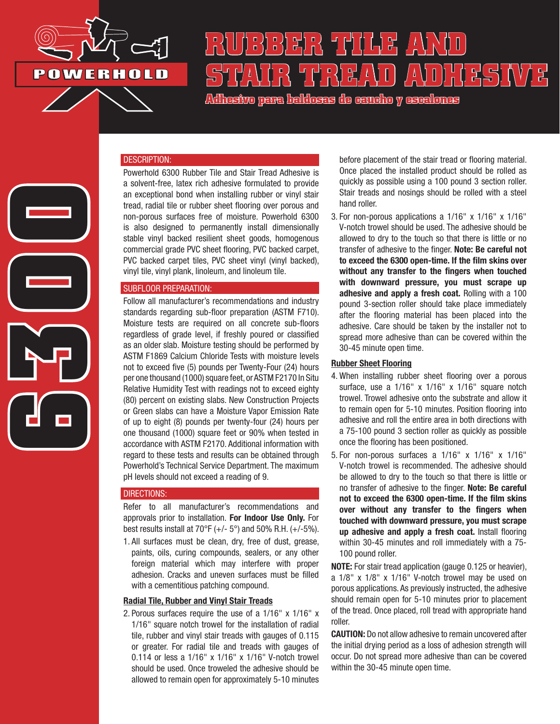

# **RUBBER TILE AND STAIR TREAD ADHESIVE**

**Adhesivo para baldosas de caucho y escalones**

# **6300**

### DESCRIPTION:

Powerhold 6300 Rubber Tile and Stair Tread Adhesive is a solvent-free, latex rich adhesive formulated to provide an exceptional bond when installing rubber or vinyl stair tread, radial tile or rubber sheet flooring over porous and non-porous surfaces free of moisture. Powerhold 6300 is also designed to permanently install dimensionally stable vinyl backed resilient sheet goods, homogenous commercial grade PVC sheet flooring, PVC backed carpet, PVC backed carpet tiles, PVC sheet vinyl (vinyl backed), vinyl tile, vinyl plank, linoleum, and linoleum tile.

### SUBFLOOR PREPARATION:

Follow all manufacturer's recommendations and industry standards regarding sub-floor preparation (ASTM F710). Moisture tests are required on all concrete sub-floors regardless of grade level, if freshly poured or classified as an older slab. Moisture testing should be performed by ASTM F1869 Calcium Chloride Tests with moisture levels not to exceed five (5) pounds per Twenty-Four (24) hours per one thousand (1000) square feet, or ASTM F2170 In Situ Relative Humidity Test with readings not to exceed eighty (80) percent on existing slabs. New Construction Projects or Green slabs can have a Moisture Vapor Emission Rate of up to eight (8) pounds per twenty-four (24) hours per one thousand (1000) square feet or 90% when tested in accordance with ASTM F2170. Additional information with regard to these tests and results can be obtained through Powerhold's Technical Service Department. The maximum pH levels should not exceed a reading of 9.

### DIRECTIONS:

Refer to all manufacturer's recommendations and approvals prior to installation. For Indoor Use Only. For best results install at 70 $\degree$ F (+/- 5 $\degree$ ) and 50% R.H. (+/-5%).

1. All surfaces must be clean, dry, free of dust, grease, paints, oils, curing compounds, sealers, or any other foreign material which may interfere with proper adhesion. Cracks and uneven surfaces must be filled with a cementitious patching compound.

### Radial Tile, Rubber and Vinyl Stair Treads

2. Porous surfaces require the use of a 1/16" x 1/16" x 1/16" square notch trowel for the installation of radial tile, rubber and vinyl stair treads with gauges of 0.115 or greater. For radial tile and treads with gauges of 0.114 or less a 1/16" x 1/16" x 1/16" V-notch trowel should be used. Once troweled the adhesive should be allowed to remain open for approximately 5-10 minutes

before placement of the stair tread or flooring material. Once placed the installed product should be rolled as quickly as possible using a 100 pound 3 section roller. Stair treads and nosings should be rolled with a steel hand roller.

3. For non-porous applications a 1/16" x 1/16" x 1/16" V-notch trowel should be used. The adhesive should be allowed to dry to the touch so that there is little or no transfer of adhesive to the finger. Note: Be careful not to exceed the 6300 open-time. If the film skins over without any transfer to the fingers when touched with downward pressure, you must scrape up adhesive and apply a fresh coat. Rolling with a 100 pound 3-section roller should take place immediately after the flooring material has been placed into the adhesive. Care should be taken by the installer not to spread more adhesive than can be covered within the 30-45 minute open time.

### Rubber Sheet Flooring

- 4. When installing rubber sheet flooring over a porous surface, use a  $1/16$ " x  $1/16$ " x  $1/16$ " square notch trowel. Trowel adhesive onto the substrate and allow it to remain open for 5-10 minutes. Position flooring into adhesive and roll the entire area in both directions with a 75-100 pound 3 section roller as quickly as possible once the flooring has been positioned.
- 5. For non-porous surfaces a 1/16" x 1/16" x 1/16" V-notch trowel is recommended. The adhesive should be allowed to dry to the touch so that there is little or no transfer of adhesive to the finger. Note: Be careful not to exceed the 6300 open-time. If the film skins over without any transfer to the fingers when touched with downward pressure, you must scrape up adhesive and apply a fresh coat. Install flooring within 30-45 minutes and roll immediately with a 75- 100 pound roller.

NOTE: For stair tread application (gauge 0.125 or heavier), a 1/8" x 1/8" x 1/16" V-notch trowel may be used on porous applications. As previously instructed, the adhesive should remain open for 5-10 minutes prior to placement of the tread. Once placed, roll tread with appropriate hand roller.

CAUTION: Do not allow adhesive to remain uncovered after the initial drying period as a loss of adhesion strength will occur. Do not spread more adhesive than can be covered within the 30-45 minute open time.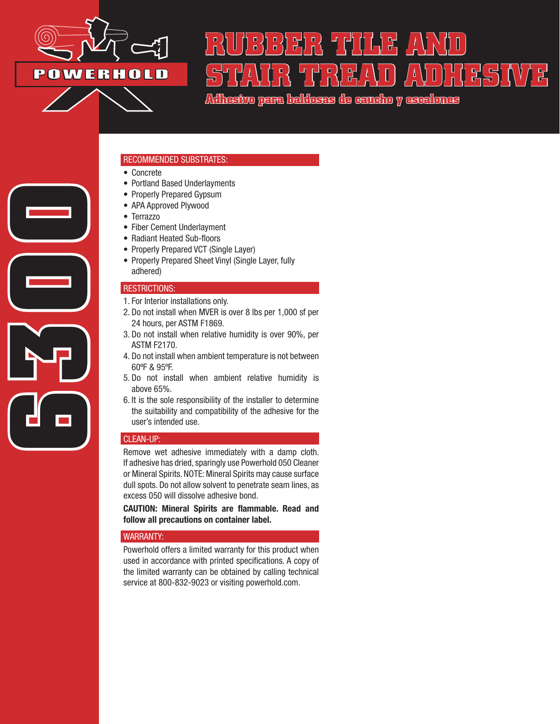

# **RUBBER TILE AND**  STAIR TREAD ADHESIVE

**Adhesivo para baldosas de caucho y escalones**

### RECOMMENDED SUBSTRATES:

- Concrete
- Portland Based Underlayments
- Properly Prepared Gypsum
- APA Approved Plywood
- Terrazzo
- Fiber Cement Underlayment
- Radiant Heated Sub-floors
- Properly Prepared VCT (Single Layer)
- Properly Prepared Sheet Vinyl (Single Layer, fully adhered)

### RESTRICTIONS:

**6300**

- 1. For Interior installations only.
- 2. Do not install when MVER is over 8 lbs per 1,000 sf per 24 hours, per ASTM F1869.
- 3. Do not install when relative humidity is over 90%, per ASTM F2170.
- 4. Do not install when ambient temperature is not between 60ºF & 95ºF.
- 5. Do not install when ambient relative humidity is above 65%.
- 6. It is the sole responsibility of the installer to determine the suitability and compatibility of the adhesive for the user's intended use.

### CLEAN-UP:

Remove wet adhesive immediately with a damp cloth. If adhesive has dried, sparingly use Powerhold 050 Cleaner or Mineral Spirits. NOTE: Mineral Spirits may cause surface dull spots. Do not allow solvent to penetrate seam lines, as excess 050 will dissolve adhesive bond.

CAUTION: Mineral Spirits are flammable. Read and follow all precautions on container label.

### WARRANTY:

Powerhold offers a limited warranty for this product when used in accordance with printed specifications. A copy of the limited warranty can be obtained by calling technical service at 800-832-9023 or visiting powerhold.com.